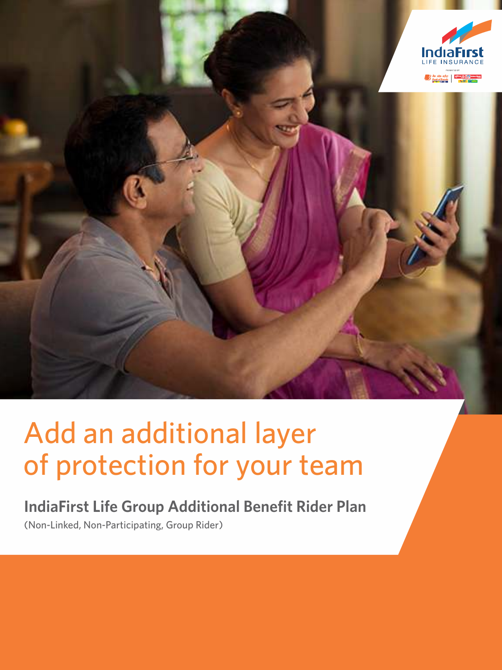

# Add an additional layer of protection for your team

**IndiaFirst Life Group Additional Benefit Rider Plan**  (Non-Linked, Non-Participating, Group Rider)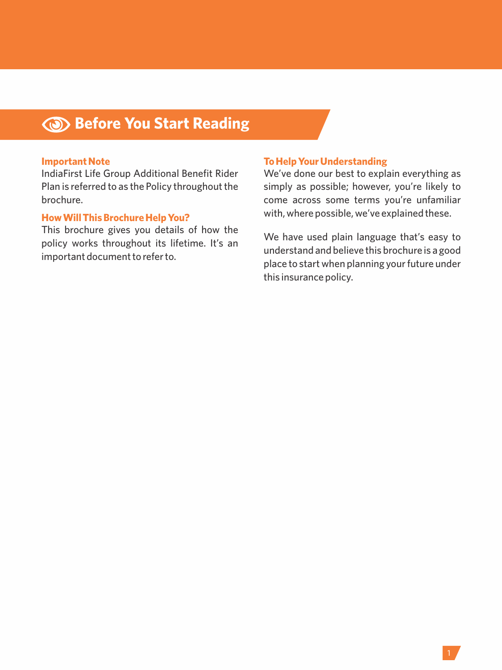# **Before You Start Reading**

## **Important Note**

IndiaFirst Life Group Additional Benefit Rider Plan is referred to as the Policy throughout the brochure.

## **How Will This Brochure Help You?**

This brochure gives you details of how the policy works throughout its lifetime. It's an important document to refer to.

## **To Help Your Understanding**

We've done our best to explain everything as simply as possible; however, you're likely to come across some terms you're unfamiliar with, where possible, we've explained these.

We have used plain language that's easy to understand and believe this brochure is a good place to start when planning your future under this insurance policy.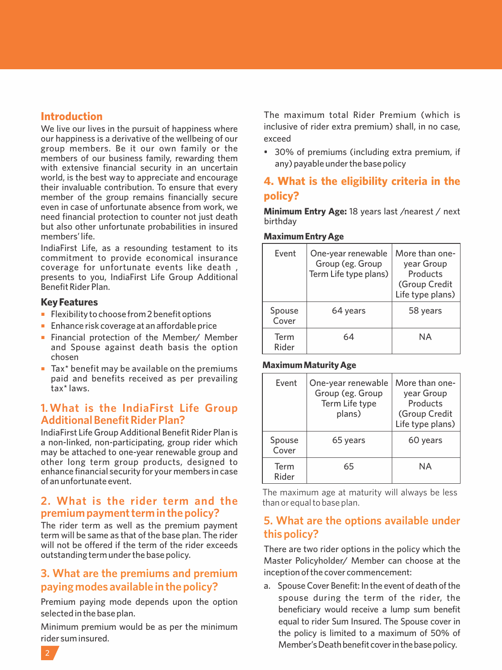# **Introduction**

We live our lives in the pursuit of happiness where our happiness is a derivative of the wellbeing of our group members. Be it our own family or the members of our business family, rewarding them with extensive financial security in an uncertain world, is the best way to appreciate and encourage their invaluable contribution. To ensure that every member of the group remains financially secure even in case of unfortunate absence from work, we need financial protection to counter not just death but also other unfortunate probabilities in insured members' life.

IndiaFirst Life, as a resounding testament to its commitment to provide economical insurance coverage for unfortunate events like death , presents to you, IndiaFirst Life Group Additional Benefit Rider Plan.

## **Key Features**

- Flexibility to choose from 2 benefit options
- Enhance risk coverage at an affordable price
- Financial protection of the Member/ Member and Spouse against death basis the option chosen
- $\blacksquare$  Tax\* benefit may be available on the premiums paid and benefits received as per prevailing tax\* laws.

# **1. What is the IndiaFirst Life Group Additional Benefit Rider Plan?**

IndiaFirst Life Group Additional Benefit Rider Plan is a non-linked, non-participating, group rider which may be attached to one-year renewable group and other long term group products, designed to enhance financial security for your members in case of an unfortunate event.

# **2. What is the rider term and the premium payment term in the policy?**

The rider term as well as the premium payment term will be same as that of the base plan. The rider will not be offered if the term of the rider exceeds outstanding term under the base policy.

# **3. What are the premiums and premium paying modes available in the policy?**

Premium paying mode depends upon the option selected in the base plan.

Minimum premium would be as per the minimum rider sum insured.

The maximum total Rider Premium (which is inclusive of rider extra premium) shall, in no case, exceed

• 30% of premiums (including extra premium, if any) payable under the base policy

# **4. What is the eligibility criteria in the policy?**

**Minimum Entry Age:** 18 years last /nearest / next birthday

## **Maximum Entry Age**

| Event           | One-year renewable<br>Group (eg. Group<br>Term Life type plans) | More than one-<br>year Group<br>Products<br>(Group Credit<br>Life type plans) |
|-----------------|-----------------------------------------------------------------|-------------------------------------------------------------------------------|
| Spouse<br>Cover | 64 years                                                        | 58 years                                                                      |
| Term<br>Rider   | 64                                                              | ΝA                                                                            |

## **Maximum Maturity Age**

| Event           | One-year renewable<br>Group (eg. Group<br>Term Life type<br>plans) | More than one-<br>year Group<br>Products<br>(Group Credit<br>Life type plans) |
|-----------------|--------------------------------------------------------------------|-------------------------------------------------------------------------------|
| Spouse<br>Cover | 65 years                                                           | 60 years                                                                      |
| Term<br>Rider   | 65                                                                 | <b>NA</b>                                                                     |

The maximum age at maturity will always be less than or equal to base plan.

# **5. What are the options available under this policy?**

There are two rider options in the policy which the Master Policyholder/ Member can choose at the inception of the cover commencement:

a. Spouse Cover Benefit: In the event of death of the spouse during the term of the rider, the beneficiary would receive a lump sum benefit equal to rider Sum Insured. The Spouse cover in the policy is limited to a maximum of 50% of Member's Death benefit cover in the base policy.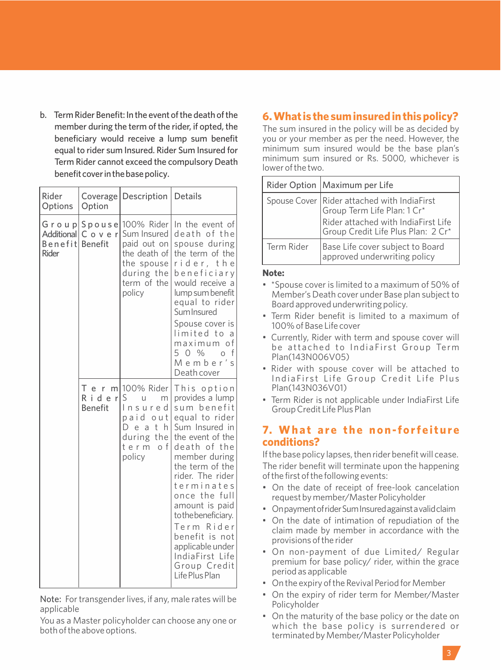b. Term Rider Benefit: In the event of the death of the member during the term of the rider, if opted, the beneficiary would receive a lump sum benefit equal to rider sum Insured. Rider Sum Insured for Term Rider cannot exceed the compulsory Death benefit cover in the base policy.

| Rider<br>Options               | Option                  | Coverage   Description                                                                                                     | Details                                                                                                                                                                                                                                                                                                                                                        |
|--------------------------------|-------------------------|----------------------------------------------------------------------------------------------------------------------------|----------------------------------------------------------------------------------------------------------------------------------------------------------------------------------------------------------------------------------------------------------------------------------------------------------------------------------------------------------------|
| Additional<br>Benefit<br>Rider | Cover<br><b>Benefit</b> | Group Spouse 100% Rider<br>Sum Insured<br>paid out on<br>the death of<br>the spouse<br>during the<br>term of the<br>policy | In the event of<br>death of the<br>spouse during<br>the term of the<br>rider, the<br>beneficiary<br>would receive a<br>lump sum benefit<br>equal to rider<br>Sum Insured<br>Spouse cover is<br>limited to a<br>maximum of<br>50 %<br>$\Omega$<br>f<br>Member's<br>Death cover                                                                                  |
|                                | Rider<br><b>Benefit</b> | T e r ml100% Rider<br>S<br>u<br>m<br>Insured<br>paid out<br>Dе<br>ath<br>the<br>during<br>term<br>o f<br>policy            | This option<br>provides a lump<br>sum benefit<br>equal to rider<br>Sum Insured in<br>the event of the<br>death of the<br>member during<br>the term of the<br>rider. The rider<br>terminates<br>once the full<br>amount is paid<br>to the beneficiary.<br>Term Rider<br>benefit is not<br>applicable under<br>IndiaFirst Life<br>Group Credit<br>Life Plus Plan |

Note: For transgender lives, if any, male rates will be applicable

You as a Master policyholder can choose any one or both of the above options.

# **6. What is the sum insured in this policy?**

The sum insured in the policy will be as decided by you or your member as per the need. However, the minimum sum insured would be the base plan's minimum sum insured or Rs. 5000, whichever is lower of the two.

|            | Rider Option   Maximum per Life                                               |  |
|------------|-------------------------------------------------------------------------------|--|
|            | Spouse Cover Rider attached with IndiaFirst<br>Group Term Life Plan: $1 Cr^*$ |  |
|            | Rider attached with IndiaFirst Life<br>Group Credit Life Plus Plan: 2 Cr*     |  |
| Term Rider | Base Life cover subject to Board<br>approved underwriting policy              |  |

## **Note:**

- \*Spouse cover is limited to a maximum of 50% of Member's Death cover under Base plan subject to Board approved underwriting policy.
- Term Rider benefit is limited to a maximum of 100% of Base Life cover
- Currently, Rider with term and spouse cover will be attached to IndiaFirst Group Term Plan(143N006V05)
- Rider with spouse cover will be attached to India First Life Group Credit Life Plus Plan(143N036V01)
- Term Rider is not applicable under IndiaFirst Life Group Credit Life Plus Plan

# **7. Wha t a re the non-forfe iture conditions?**

If the base policy lapses, then rider benefit will cease. The rider benefit will terminate upon the happening of the first of the following events:

- On the date of receipt of free-look cancelation request by member/Master Policyholder
- On payment of rider Sum Insured against a valid claim
- On the date of intimation of repudiation of the claim made by member in accordance with the provisions of the rider
- On non-payment of due Limited/ Regular premium for base policy/ rider, within the grace period as applicable
- On the expiry of the Revival Period for Member
- On the expiry of rider term for Member/Master Policyholder
- On the maturity of the base policy or the date on which the base policy is surrendered or terminated by Member/Master Policyholder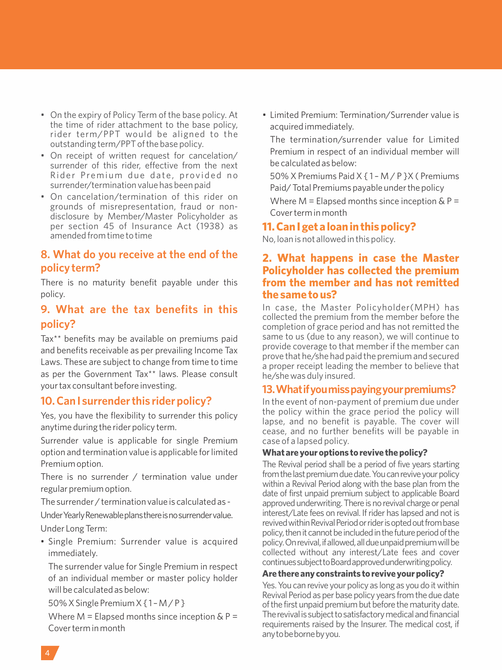- On the expiry of Policy Term of the base policy. At the time of rider attachment to the base policy, rider term/PPT would be aligned to the outstanding term/PPT of the base policy.
- On receipt of written request for cancelation/ surrender of this rider, effective from the next Rider Premium due date, provided no surrender/termination value has been paid
- On cancelation/termination of this rider on grounds of misrepresentation, fraud or nondisclosure by Member/Master Policyholder as per section 45 of Insurance Act (1938) as amended from time to time

# **8. What do you receive at the end of the policy term?**

There is no maturity benefit payable under this policy.

# **9. What are the tax benefits in this policy?**

Tax\*\* benefits may be available on premiums paid and benefits receivable as per prevailing Income Tax Laws. These are subject to change from time to time as per the Government Tax\*\* laws. Please consult your tax consultant before investing.

# **10. Can I surrender this rider policy?**

Yes, you have the flexibility to surrender this policy anytime during the rider policy term.

Surrender value is applicable for single Premium option and termination value is applicable for limited Premium option.

There is no surrender / termination value under regular premium option.

The surrender / termination value is calculated as -

Under Yearly Renewable plans there is no surrender value. Under Long Term:

• Single Premium: Surrender value is acquired immediately.

The surrender value for Single Premium in respect of an individual member or master policy holder will be calculated as below:

50% X Single Premium X { 1 – M / P }

Where  $M =$  Elapsed months since inception  $\& P =$ Cover term in month

• Limited Premium: Termination/Surrender value is acquired immediately.

The termination/surrender value for Limited Premium in respect of an individual member will be calculated as below:

50% X Premiums Paid X { 1 – M / P }X ( Premiums Paid/ Total Premiums payable under the policy

Where  $M =$  Elapsed months since inception & P = Cover term in month

# **11. Can I get a loan in this policy?**

No, loan is not allowed in this policy.

# **2. What happens in case the Master Policyholder has collected the premium from the member and has not remitted the same to us?**

In case, the Master Policyholder(MPH) has collected the premium from the member before the completion of grace period and has not remitted the same to us (due to any reason), we will continue to provide coverage to that member if the member can prove that he/she had paid the premium and secured a proper receipt leading the member to believe that he/she was duly insured.

# **13.Whatifyoumisspayingyourpremiums?**

In the event of non-payment of premium due under the policy within the grace period the policy will lapse, and no benefit is payable. The cover will cease, and no further benefits will be payable in case of a lapsed policy.

## **What are your options to revive the policy?**

The Revival period shall be a period of five years starting from the last premium due date. You can revive your policy within a Revival Period along with the base plan from the date of first unpaid premium subject to applicable Board approved underwriting. There is no revival charge or penal interest/Late fees on revival. If rider has lapsed and not is revived within Revival Period or rider is opted out from base policy, then it cannot be included in the future period of the policy.Onrevival,ifallowed,alldueunpaidpremiumwillbe collected without any interest/Late fees and cover continues subject to Board approved underwriting policy.

## **Are there any constraints to revive your policy?**

Yes. You can revive your policy as long as you do it within Revival Period as per base policy years from the due date of the first unpaid premium but before the maturity date. The revival is subject to satisfactory medical and financial requirements raised by the Insurer. The medical cost, if anytobebornebyyou.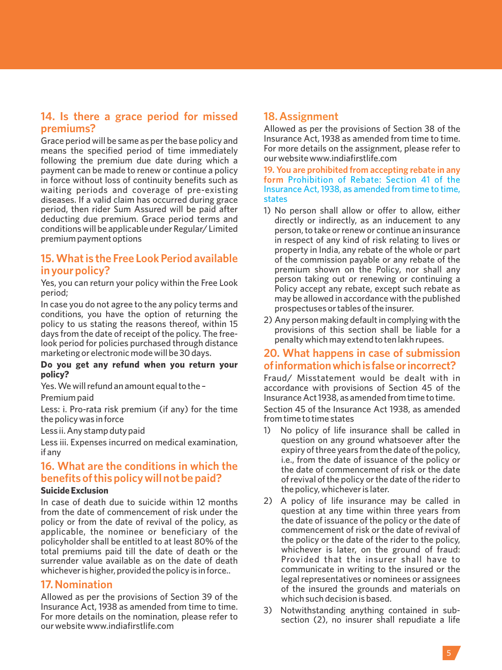# **14. Is there a grace period for missed premiums?**

Grace period will be same as per the base policy and means the specified period of time immediately following the premium due date during which a payment can be made to renew or continue a policy in force without loss of continuity benefits such as waiting periods and coverage of pre-existing diseases. If a valid claim has occurred during grace period, then rider Sum Assured will be paid after deducting due premium. Grace period terms and conditions will be applicable under Regular/ Limited premium payment options

# **15. What is the Free Look Period available in your policy?**

Yes, you can return your policy within the Free Look period;

In case you do not agree to the any policy terms and conditions, you have the option of returning the policy to us stating the reasons thereof, within 15 days from the date of receipt of the policy. The freelook period for policies purchased through distance marketing or electronic mode will be 30 days.

## **Do you get any refund when you return your policy?**

Yes. We will refund an amount equal to the –

## Premium paid

Less: i. Pro-rata risk premium (if any) for the time the policy was in force

Less ii. Any stamp duty paid

Less iii. Expenses incurred on medical examination, if any

# **16. What are the conditions in which the benefits of this policy will not be paid?**

## **Suicide Exclusion**

In case of death due to suicide within 12 months from the date of commencement of risk under the policy or from the date of revival of the policy, as applicable, the nominee or beneficiary of the policyholder shall be entitled to at least 80% of the total premiums paid till the date of death or the surrender value available as on the date of death whichever is higher, provided the policy is in force..

## **17. Nomination**

Allowed as per the provisions of Section 39 of the Insurance Act, 1938 as amended from time to time. For more details on the nomination, please refer to our website www.indiafirstlife.com

# **18. Assignment**

Allowed as per the provisions of Section 38 of the Insurance Act, 1938 as amended from time to time. For more details on the assignment, please refer to our website www.indiafirstlife.com

**19. You are prohibited from accepting rebate in any form** Prohibition of Rebate: Section 41 of the Insurance Act, 1938, as amended from time to time, states

- 1) No person shall allow or offer to allow, either directly or indirectly, as an inducement to any person, to take or renew or continue an insurance in respect of any kind of risk relating to lives or property in India, any rebate of the whole or part of the commission payable or any rebate of the premium shown on the Policy, nor shall any person taking out or renewing or continuing a Policy accept any rebate, except such rebate as may be allowed in accordance with the published prospectuses or tables of the insurer.
- 2) Any person making default in complying with the provisions of this section shall be liable for a penalty which may extend to ten lakh rupees.

# **20. What happens in case of submission ofinformationwhichisfalseorincorrect?**

Fraud/ Misstatement would be dealt with in accordance with provisions of Section 45 of the Insurance Act 1938, as amended from time to time.

Section 45 of the Insurance Act 1938, as amended from time to time states

- 1) No policy of life insurance shall be called in question on any ground whatsoever after the expiry of three years from the date of the policy, i.e., from the date of issuance of the policy or the date of commencement of risk or the date of revival of the policy or the date of the rider to the policy, whichever is later.
- 2) A policy of life insurance may be called in question at any time within three years from the date of issuance of the policy or the date of commencement of risk or the date of revival of the policy or the date of the rider to the policy, whichever is later, on the ground of fraud: Provided that the insurer shall have to communicate in writing to the insured or the legal representatives or nominees or assignees of the insured the grounds and materials on which such decision is based.
- 3) Notwithstanding anything contained in subsection (2), no insurer shall repudiate a life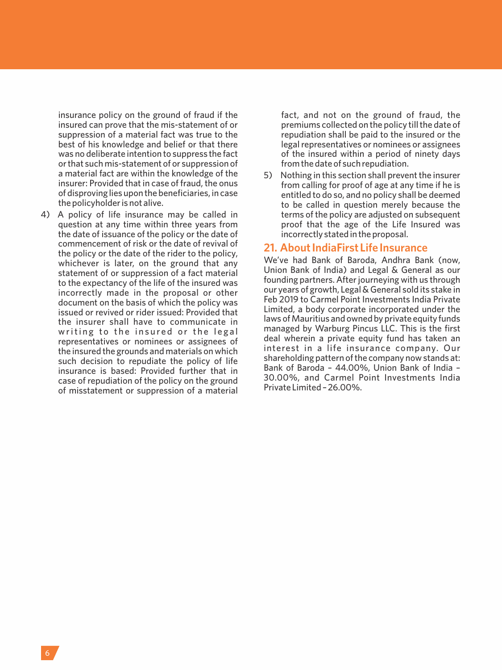insurance policy on the ground of fraud if the insured can prove that the mis-statement of or suppression of a material fact was true to the best of his knowledge and belief or that there was no deliberate intention to suppress the fact or that such mis-statement of or suppression of a material fact are within the knowledge of the insurer: Provided that in case of fraud, the onus of disproving lies upon the beneficiaries, in case the policyholder is not alive.

4) A policy of life insurance may be called in question at any time within three years from the date of issuance of the policy or the date of commencement of risk or the date of revival of the policy or the date of the rider to the policy, whichever is later, on the ground that any statement of or suppression of a fact material to the expectancy of the life of the insured was incorrectly made in the proposal or other document on the basis of which the policy was issued or revived or rider issued: Provided that the insurer shall have to communicate in writing to the insured or the legal representatives or nominees or assignees of the insured the grounds and materials on which such decision to repudiate the policy of life insurance is based: Provided further that in case of repudiation of the policy on the ground of misstatement or suppression of a material fact, and not on the ground of fraud, the premiums collected on the policy till the date of repudiation shall be paid to the insured or the legal representatives or nominees or assignees of the insured within a period of ninety days from the date of such repudiation.

5) Nothing in this section shall prevent the insurer from calling for proof of age at any time if he is entitled to do so, and no policy shall be deemed to be called in question merely because the terms of the policy are adjusted on subsequent proof that the age of the Life Insured was incorrectly stated in the proposal.

## **21. About IndiaFirst Life Insurance**

We've had Bank of Baroda, Andhra Bank (now, Union Bank of India) and Legal & General as our founding partners. After journeying with us through our years of growth, Legal & General sold its stake in Feb 2019 to Carmel Point Investments India Private Limited, a body corporate incorporated under the laws of Mauritius and owned by private equity funds managed by Warburg Pincus LLC. This is the first deal wherein a private equity fund has taken an interest in a life insurance company. Our shareholding pattern of the company now stands at: Bank of Baroda – 44.00%, Union Bank of India – 30.00%, and Carmel Point Investments India Private Limited – 26.00%.